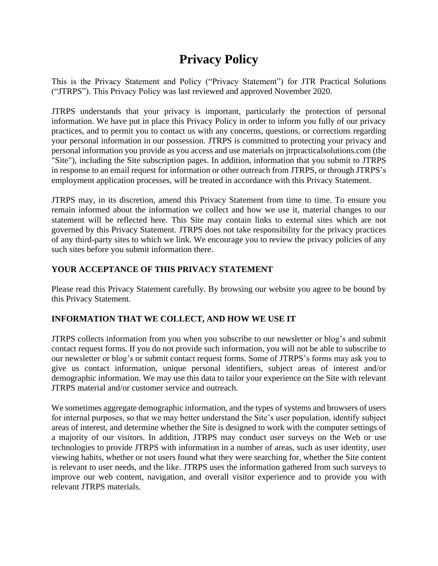# **Privacy Policy**

This is the Privacy Statement and Policy ("Privacy Statement") for JTR Practical Solutions ("JTRPS"). This Privacy Policy was last reviewed and approved November 2020.

JTRPS understands that your privacy is important, particularly the protection of personal information. We have put in place this Privacy Policy in order to inform you fully of our privacy practices, and to permit you to contact us with any concerns, questions, or corrections regarding your personal information in our possession. JTRPS is committed to protecting your privacy and personal information you provide as you access and use materials on jtrpracticalsolutions.com (the "Site"), including the Site subscription pages. In addition, information that you submit to JTRPS in response to an email request for information or other outreach from JTRPS, or through JTRPS's employment application processes, will be treated in accordance with this Privacy Statement.

JTRPS may, in its discretion, amend this Privacy Statement from time to time. To ensure you remain informed about the information we collect and how we use it, material changes to our statement will be reflected here. This Site may contain links to external sites which are not governed by this Privacy Statement. JTRPS does not take responsibility for the privacy practices of any third-party sites to which we link. We encourage you to review the privacy policies of any such sites before you submit information there.

# **YOUR ACCEPTANCE OF THIS PRIVACY STATEMENT**

Please read this Privacy Statement carefully. By browsing our website you agree to be bound by this Privacy Statement.

# **INFORMATION THAT WE COLLECT, AND HOW WE USE IT**

JTRPS collects information from you when you subscribe to our newsletter or blog's and submit contact request forms. If you do not provide such information, you will not be able to subscribe to our newsletter or blog's or submit contact request forms. Some of JTRPS's forms may ask you to give us contact information, unique personal identifiers, subject areas of interest and/or demographic information. We may use this data to tailor your experience on the Site with relevant JTRPS material and/or customer service and outreach.

We sometimes aggregate demographic information, and the types of systems and browsers of users for internal purposes, so that we may better understand the Site's user population, identify subject areas of interest, and determine whether the Site is designed to work with the computer settings of a majority of our visitors. In addition, JTRPS may conduct user surveys on the Web or use technologies to provide JTRPS with information in a number of areas, such as user identity, user viewing habits, whether or not users found what they were searching for, whether the Site content is relevant to user needs, and the like. JTRPS uses the information gathered from such surveys to improve our web content, navigation, and overall visitor experience and to provide you with relevant JTRPS materials.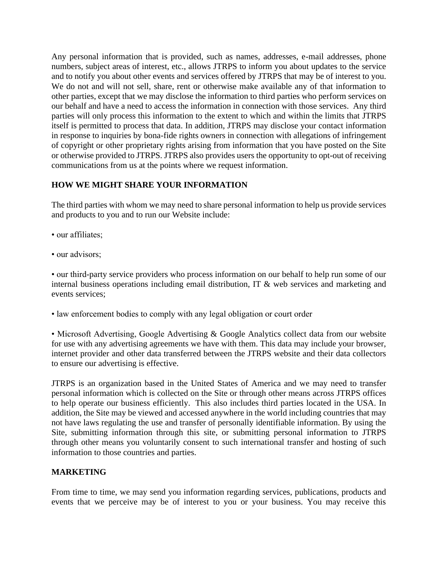Any personal information that is provided, such as names, addresses, e-mail addresses, phone numbers, subject areas of interest, etc., allows JTRPS to inform you about updates to the service and to notify you about other events and services offered by JTRPS that may be of interest to you. We do not and will not sell, share, rent or otherwise make available any of that information to other parties, except that we may disclose the information to third parties who perform services on our behalf and have a need to access the information in connection with those services. Any third parties will only process this information to the extent to which and within the limits that JTRPS itself is permitted to process that data. In addition, JTRPS may disclose your contact information in response to inquiries by bona-fide rights owners in connection with allegations of infringement of copyright or other proprietary rights arising from information that you have posted on the Site or otherwise provided to JTRPS. JTRPS also provides users the opportunity to opt-out of receiving communications from us at the points where we request information.

# **HOW WE MIGHT SHARE YOUR INFORMATION**

The third parties with whom we may need to share personal information to help us provide services and products to you and to run our Website include:

- our affiliates;
- our advisors;

• our third-party service providers who process information on our behalf to help run some of our internal business operations including email distribution, IT & web services and marketing and events services;

• law enforcement bodies to comply with any legal obligation or court order

• Microsoft Advertising, Google Advertising & Google Analytics collect data from our website for use with any advertising agreements we have with them. This data may include your browser, internet provider and other data transferred between the JTRPS website and their data collectors to ensure our advertising is effective.

JTRPS is an organization based in the United States of America and we may need to transfer personal information which is collected on the Site or through other means across JTRPS offices to help operate our business efficiently. This also includes third parties located in the USA. In addition, the Site may be viewed and accessed anywhere in the world including countries that may not have laws regulating the use and transfer of personally identifiable information. By using the Site, submitting information through this site, or submitting personal information to JTRPS through other means you voluntarily consent to such international transfer and hosting of such information to those countries and parties.

#### **MARKETING**

From time to time, we may send you information regarding services, publications, products and events that we perceive may be of interest to you or your business. You may receive this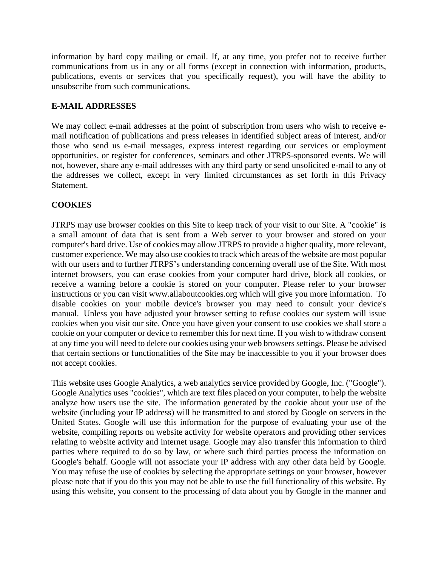information by hard copy mailing or email. If, at any time, you prefer not to receive further communications from us in any or all forms (except in connection with information, products, publications, events or services that you specifically request), you will have the ability to unsubscribe from such communications.

## **E-MAIL ADDRESSES**

We may collect e-mail addresses at the point of subscription from users who wish to receive email notification of publications and press releases in identified subject areas of interest, and/or those who send us e-mail messages, express interest regarding our services or employment opportunities, or register for conferences, seminars and other JTRPS-sponsored events. We will not, however, share any e-mail addresses with any third party or send unsolicited e-mail to any of the addresses we collect, except in very limited circumstances as set forth in this Privacy Statement.

## **COOKIES**

JTRPS may use browser cookies on this Site to keep track of your visit to our Site. A "cookie" is a small amount of data that is sent from a Web server to your browser and stored on your computer's hard drive. Use of cookies may allow JTRPS to provide a higher quality, more relevant, customer experience. We may also use cookies to track which areas of the website are most popular with our users and to further JTRPS's understanding concerning overall use of the Site. With most internet browsers, you can erase cookies from your computer hard drive, block all cookies, or receive a warning before a cookie is stored on your computer. Please refer to your browser instructions or you can visit www.allaboutcookies.org which will give you more information. To disable cookies on your mobile device's browser you may need to consult your device's manual. Unless you have adjusted your browser setting to refuse cookies our system will issue cookies when you visit our site. Once you have given your consent to use cookies we shall store a cookie on your computer or device to remember this for next time. If you wish to withdraw consent at any time you will need to delete our cookies using your web browsers settings. Please be advised that certain sections or functionalities of the Site may be inaccessible to you if your browser does not accept cookies.

This website uses Google Analytics, a web analytics service provided by Google, Inc. ("Google"). Google Analytics uses "cookies", which are text files placed on your computer, to help the website analyze how users use the site. The information generated by the cookie about your use of the website (including your IP address) will be transmitted to and stored by Google on servers in the United States. Google will use this information for the purpose of evaluating your use of the website, compiling reports on website activity for website operators and providing other services relating to website activity and internet usage. Google may also transfer this information to third parties where required to do so by law, or where such third parties process the information on Google's behalf. Google will not associate your IP address with any other data held by Google. You may refuse the use of cookies by selecting the appropriate settings on your browser, however please note that if you do this you may not be able to use the full functionality of this website. By using this website, you consent to the processing of data about you by Google in the manner and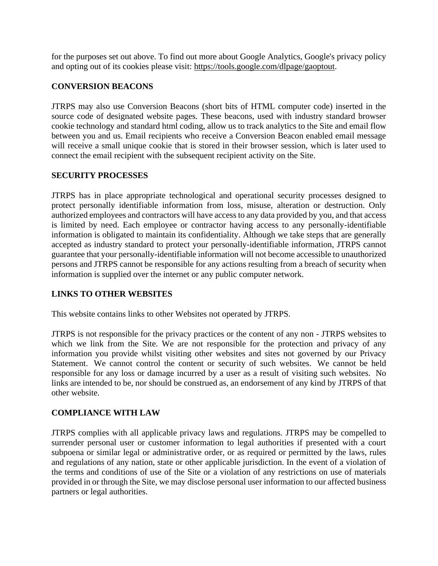for the purposes set out above. To find out more about Google Analytics, Google's privacy policy and opting out of its cookies please visit: [https://tools.google.com/dlpage/gaoptout.](https://tools.google.com/dlpage/gaoptout)

#### **CONVERSION BEACONS**

JTRPS may also use Conversion Beacons (short bits of HTML computer code) inserted in the source code of designated website pages. These beacons, used with industry standard browser cookie technology and standard html coding, allow us to track analytics to the Site and email flow between you and us. Email recipients who receive a Conversion Beacon enabled email message will receive a small unique cookie that is stored in their browser session, which is later used to connect the email recipient with the subsequent recipient activity on the Site.

#### **SECURITY PROCESSES**

JTRPS has in place appropriate technological and operational security processes designed to protect personally identifiable information from loss, misuse, alteration or destruction. Only authorized employees and contractors will have access to any data provided by you, and that access is limited by need. Each employee or contractor having access to any personally-identifiable information is obligated to maintain its confidentiality. Although we take steps that are generally accepted as industry standard to protect your personally-identifiable information, JTRPS cannot guarantee that your personally-identifiable information will not become accessible to unauthorized persons and JTRPS cannot be responsible for any actions resulting from a breach of security when information is supplied over the internet or any public computer network.

#### **LINKS TO OTHER WEBSITES**

This website contains links to other Websites not operated by JTRPS.

JTRPS is not responsible for the privacy practices or the content of any non - JTRPS websites to which we link from the Site. We are not responsible for the protection and privacy of any information you provide whilst visiting other websites and sites not governed by our Privacy Statement. We cannot control the content or security of such websites. We cannot be held responsible for any loss or damage incurred by a user as a result of visiting such websites. No links are intended to be, nor should be construed as, an endorsement of any kind by JTRPS of that other website.

## **COMPLIANCE WITH LAW**

JTRPS complies with all applicable privacy laws and regulations. JTRPS may be compelled to surrender personal user or customer information to legal authorities if presented with a court subpoena or similar legal or administrative order, or as required or permitted by the laws, rules and regulations of any nation, state or other applicable jurisdiction. In the event of a violation of the terms and conditions of use of the Site or a violation of any restrictions on use of materials provided in or through the Site, we may disclose personal user information to our affected business partners or legal authorities.